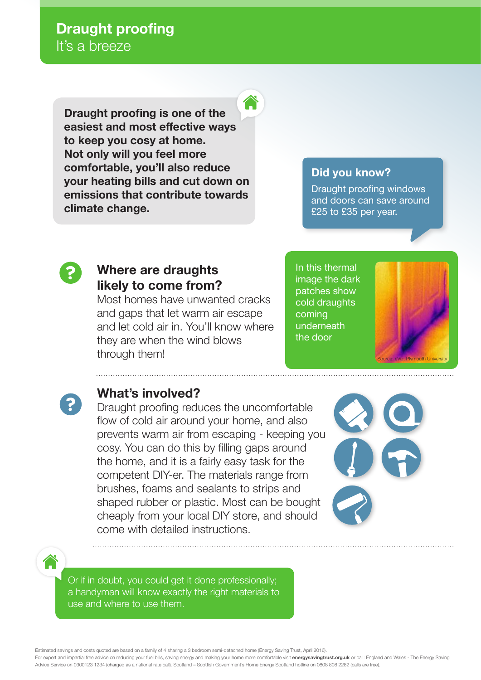**Draught proofing is one of the easiest and most effective ways to keep you cosy at home. Not only will you feel more comfortable, you'll also reduce your heating bills and cut down on emissions that contribute towards climate change.**

## **Did you know?**

Draught proofing windows and doors can save around £25 to £35 per year.



## **Where are draughts likely to come from?**

Most homes have unwanted cracks and gaps that let warm air escape and let cold air in. You'll know where they are when the wind blows through them!

In this thermal image the dark patches show cold draughts coming underneath the door





## **What's involved?**

Draught proofing reduces the uncomfortable flow of cold air around your home, and also prevents warm air from escaping - keeping you cosy. You can do this by filling gaps around the home, and it is a fairly easy task for the competent DIY-er. The materials range from brushes, foams and sealants to strips and shaped rubber or plastic. Most can be bought cheaply from your local DIY store, and should come with detailed instructions.



Or if in doubt, you could get it done professionally; a handyman will know exactly the right materials to use and where to use them.

Estimated savings and costs quoted are based on a family of 4 sharing a 3 bedroom semi-detached home (Energy Saving Trust, April 2016).

For expert and impartial free advice on reducing your fuel bills, saving energy and making your home more comfortable visit **energysavingtrust.org.uk** or call: England and Wales - The Energy Saving Advice Service on 0300123 1234 (charged as a national rate call). Scotland – Scottish Government's Home Energy Scotland hotline on 0808 808 2282 (calls are free)